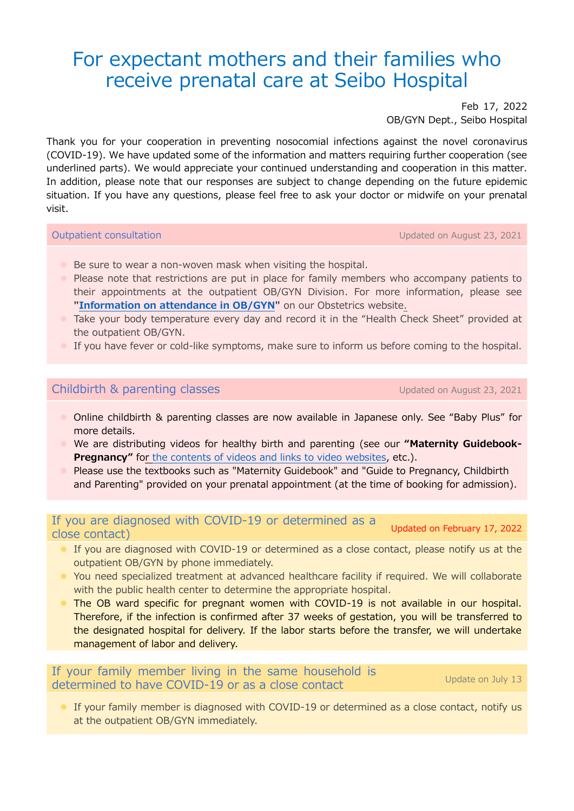# For expectant mothers and their families who receive prenatal care at Seibo Hospital

Feb 17, 2022 OB/GYN Dept., Seibo Hospital

Thank you for your cooperation in preventing nosocomial infections against the novel coronavirus (COVID-19). We have updated some of the information and matters requiring further cooperation (see underlined parts). We would appreciate your continued understanding and cooperation in this matter. In addition, please note that our responses are subject to change depending on the future epidemic situation. If you have any questions, please feel free to ask your doctor or midwife on your prenatal visit.

Outpatient consultation Updated on August 23, 2021

- Be sure to wear a non-woven mask when visiting the hospital.
- **•** Please note that restrictions are put in place for family members who accompany patients to their appointments at the outpatient OB/GYN Division. For more information, please see **["Information on attendance in](https://www.seibokai.or.jp/en/english_guide/guide_03.pdf) OB/GYN"** on our Obstetrics website.
- **Take your body temperature every day and record it in the "Health Check Sheet" provided at** the outpatient OB/GYN.
- If you have fever or cold-like symptoms, make sure to inform us before coming to the hospital.

## Childbirth & parenting classes Updated on August 23, 2021

- Online childbirth & parenting classes are now available in Japanese only. See "Baby Plus" for more details.
- We are distributing videos for healthy birth and parenting (see our **"Maternity Guidebook-Pregnancy"** for [the contents of videos and links to video websites,](https://www.seibokai.or.jp/sanka/maternity_class_video.html) etc.).
- Please use the textbooks such as "Maternity Guidebook" and "Guide to Pregnancy, Childbirth and Parenting" provided on your prenatal appointment (at the time of booking for admission).

If you are diagnosed with COVID-19 or determined as a close contact) Updated on February 17, 2022

- If you are diagnosed with COVID-19 or determined as a close contact, please notify us at the outpatient OB/GYN by phone immediately.
- You need specialized treatment at advanced healthcare facility if required. We will collaborate with the public health center to determine the appropriate hospital.
- The OB ward specific for pregnant women with COVID-19 is not available in our hospital. Therefore, if the infection is confirmed after 37 weeks of gestation, you will be transferred to the designated hospital for delivery. If the labor starts before the transfer, we will undertake management of labor and delivery.

If your family member living in the same household is determined to have COVID-19 or as a close contact Update on July 13

 If your family member is diagnosed with COVID-19 or determined as a close contact, notify us at the outpatient OB/GYN immediately.